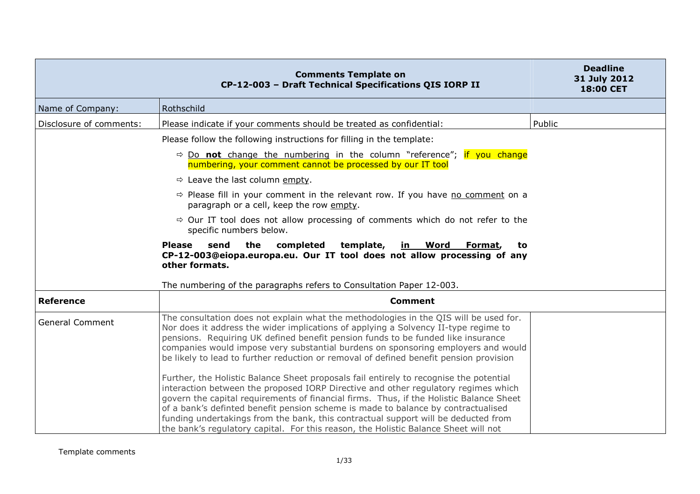|                         | <b>Comments Template on</b><br>CP-12-003 - Draft Technical Specifications QIS IORP II                                                                                                                                                                                                                                                                                                                                                                                                                                                                                                                                                                                                                                                                                                                                                                                                                                                                                                        | <b>Deadline</b><br>31 July 2012<br>18:00 CET |
|-------------------------|----------------------------------------------------------------------------------------------------------------------------------------------------------------------------------------------------------------------------------------------------------------------------------------------------------------------------------------------------------------------------------------------------------------------------------------------------------------------------------------------------------------------------------------------------------------------------------------------------------------------------------------------------------------------------------------------------------------------------------------------------------------------------------------------------------------------------------------------------------------------------------------------------------------------------------------------------------------------------------------------|----------------------------------------------|
| Name of Company:        | Rothschild                                                                                                                                                                                                                                                                                                                                                                                                                                                                                                                                                                                                                                                                                                                                                                                                                                                                                                                                                                                   |                                              |
| Disclosure of comments: | Please indicate if your comments should be treated as confidential:                                                                                                                                                                                                                                                                                                                                                                                                                                                                                                                                                                                                                                                                                                                                                                                                                                                                                                                          | Public                                       |
|                         | Please follow the following instructions for filling in the template:                                                                                                                                                                                                                                                                                                                                                                                                                                                                                                                                                                                                                                                                                                                                                                                                                                                                                                                        |                                              |
|                         | $\Rightarrow$ Do not change the numbering in the column "reference"; if you change<br>numbering, your comment cannot be processed by our IT tool                                                                                                                                                                                                                                                                                                                                                                                                                                                                                                                                                                                                                                                                                                                                                                                                                                             |                                              |
|                         | $\Rightarrow$ Leave the last column empty.                                                                                                                                                                                                                                                                                                                                                                                                                                                                                                                                                                                                                                                                                                                                                                                                                                                                                                                                                   |                                              |
|                         | $\Rightarrow$ Please fill in your comment in the relevant row. If you have no comment on a<br>paragraph or a cell, keep the row empty.                                                                                                                                                                                                                                                                                                                                                                                                                                                                                                                                                                                                                                                                                                                                                                                                                                                       |                                              |
|                         | $\Rightarrow$ Our IT tool does not allow processing of comments which do not refer to the<br>specific numbers below.                                                                                                                                                                                                                                                                                                                                                                                                                                                                                                                                                                                                                                                                                                                                                                                                                                                                         |                                              |
|                         | <b>Please</b><br>send<br>the<br>completed<br>template,<br><u>in Word</u><br>Format,<br>to<br>CP-12-003@eiopa.europa.eu. Our IT tool does not allow processing of any<br>other formats.<br>The numbering of the paragraphs refers to Consultation Paper 12-003.                                                                                                                                                                                                                                                                                                                                                                                                                                                                                                                                                                                                                                                                                                                               |                                              |
| <b>Reference</b>        | <b>Comment</b>                                                                                                                                                                                                                                                                                                                                                                                                                                                                                                                                                                                                                                                                                                                                                                                                                                                                                                                                                                               |                                              |
| <b>General Comment</b>  | The consultation does not explain what the methodologies in the QIS will be used for.<br>Nor does it address the wider implications of applying a Solvency II-type regime to<br>pensions. Requiring UK defined benefit pension funds to be funded like insurance<br>companies would impose very substantial burdens on sponsoring employers and would<br>be likely to lead to further reduction or removal of defined benefit pension provision<br>Further, the Holistic Balance Sheet proposals fail entirely to recognise the potential<br>interaction between the proposed IORP Directive and other regulatory regimes which<br>govern the capital requirements of financial firms. Thus, if the Holistic Balance Sheet<br>of a bank's definted benefit pension scheme is made to balance by contractualised<br>funding undertakings from the bank, this contractual support will be deducted from<br>the bank's regulatory capital. For this reason, the Holistic Balance Sheet will not |                                              |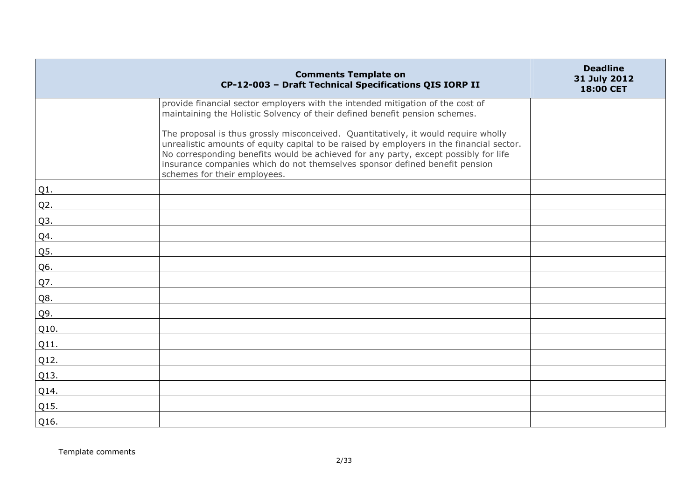|        | <b>Comments Template on</b><br>CP-12-003 - Draft Technical Specifications QIS IORP II                                                                                                                                                                                                                                                                                                | <b>Deadline</b><br>31 July 2012<br>18:00 CET |
|--------|--------------------------------------------------------------------------------------------------------------------------------------------------------------------------------------------------------------------------------------------------------------------------------------------------------------------------------------------------------------------------------------|----------------------------------------------|
|        | provide financial sector employers with the intended mitigation of the cost of<br>maintaining the Holistic Solvency of their defined benefit pension schemes.                                                                                                                                                                                                                        |                                              |
|        | The proposal is thus grossly misconceived. Quantitatively, it would require wholly<br>unrealistic amounts of equity capital to be raised by employers in the financial sector.<br>No corresponding benefits would be achieved for any party, except possibly for life<br>insurance companies which do not themselves sponsor defined benefit pension<br>schemes for their employees. |                                              |
| Q1.    |                                                                                                                                                                                                                                                                                                                                                                                      |                                              |
| $Q2$ . |                                                                                                                                                                                                                                                                                                                                                                                      |                                              |
| Q3.    |                                                                                                                                                                                                                                                                                                                                                                                      |                                              |
| Q4.    |                                                                                                                                                                                                                                                                                                                                                                                      |                                              |
| Q5.    |                                                                                                                                                                                                                                                                                                                                                                                      |                                              |
| Q6.    |                                                                                                                                                                                                                                                                                                                                                                                      |                                              |
| Q7.    |                                                                                                                                                                                                                                                                                                                                                                                      |                                              |
| Q8.    |                                                                                                                                                                                                                                                                                                                                                                                      |                                              |
| Q9.    |                                                                                                                                                                                                                                                                                                                                                                                      |                                              |
| Q10.   |                                                                                                                                                                                                                                                                                                                                                                                      |                                              |
| Q11.   |                                                                                                                                                                                                                                                                                                                                                                                      |                                              |
| Q12.   |                                                                                                                                                                                                                                                                                                                                                                                      |                                              |
| Q13.   |                                                                                                                                                                                                                                                                                                                                                                                      |                                              |
| Q14.   |                                                                                                                                                                                                                                                                                                                                                                                      |                                              |
| Q15.   |                                                                                                                                                                                                                                                                                                                                                                                      |                                              |
| Q16.   |                                                                                                                                                                                                                                                                                                                                                                                      |                                              |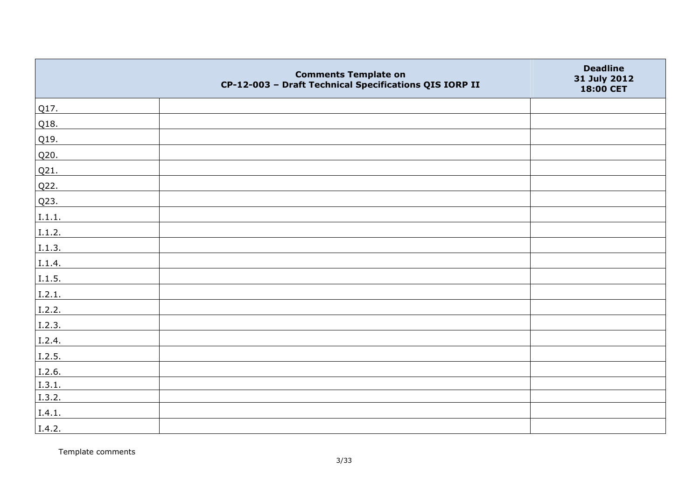|        | <b>Comments Template on</b><br>CP-12-003 - Draft Technical Specifications QIS IORP II | <b>Deadline</b><br>31 July 2012<br>18:00 CET |
|--------|---------------------------------------------------------------------------------------|----------------------------------------------|
| Q17.   |                                                                                       |                                              |
| Q18.   |                                                                                       |                                              |
| Q19.   |                                                                                       |                                              |
| Q20.   |                                                                                       |                                              |
| Q21.   |                                                                                       |                                              |
| Q22.   |                                                                                       |                                              |
| Q23.   |                                                                                       |                                              |
| I.1.1. |                                                                                       |                                              |
| I.1.2. |                                                                                       |                                              |
| I.1.3. |                                                                                       |                                              |
| I.1.4. |                                                                                       |                                              |
| I.1.5. |                                                                                       |                                              |
| I.2.1. |                                                                                       |                                              |
| I.2.2. |                                                                                       |                                              |
| I.2.3. |                                                                                       |                                              |
| I.2.4. |                                                                                       |                                              |
| I.2.5. |                                                                                       |                                              |
| I.2.6. |                                                                                       |                                              |
| I.3.1. |                                                                                       |                                              |
| I.3.2. |                                                                                       |                                              |
| I.4.1. |                                                                                       |                                              |
| I.4.2. |                                                                                       |                                              |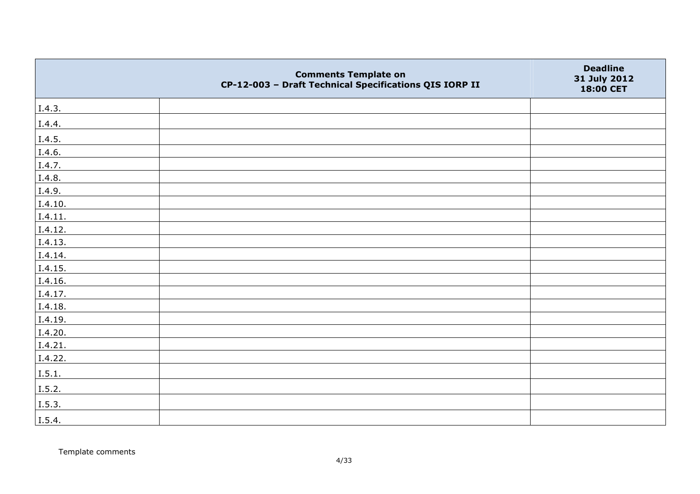|         | <b>Comments Template on</b><br>CP-12-003 - Draft Technical Specifications QIS IORP II | <b>Deadline</b><br>31 July 2012<br>18:00 CET |
|---------|---------------------------------------------------------------------------------------|----------------------------------------------|
| I.4.3.  |                                                                                       |                                              |
| I.4.4.  |                                                                                       |                                              |
| I.4.5.  |                                                                                       |                                              |
| I.4.6.  |                                                                                       |                                              |
| I.4.7.  |                                                                                       |                                              |
| I.4.8.  |                                                                                       |                                              |
| I.4.9.  |                                                                                       |                                              |
| I.4.10. |                                                                                       |                                              |
| I.4.11. |                                                                                       |                                              |
| I.4.12. |                                                                                       |                                              |
| I.4.13. |                                                                                       |                                              |
| I.4.14. |                                                                                       |                                              |
| I.4.15. |                                                                                       |                                              |
| I.4.16. |                                                                                       |                                              |
| I.4.17. |                                                                                       |                                              |
| I.4.18. |                                                                                       |                                              |
| I.4.19. |                                                                                       |                                              |
| I.4.20. |                                                                                       |                                              |
| I.4.21. |                                                                                       |                                              |
| I.4.22. |                                                                                       |                                              |
| I.5.1.  |                                                                                       |                                              |
| I.5.2.  |                                                                                       |                                              |
| I.5.3.  |                                                                                       |                                              |
| I.5.4.  |                                                                                       |                                              |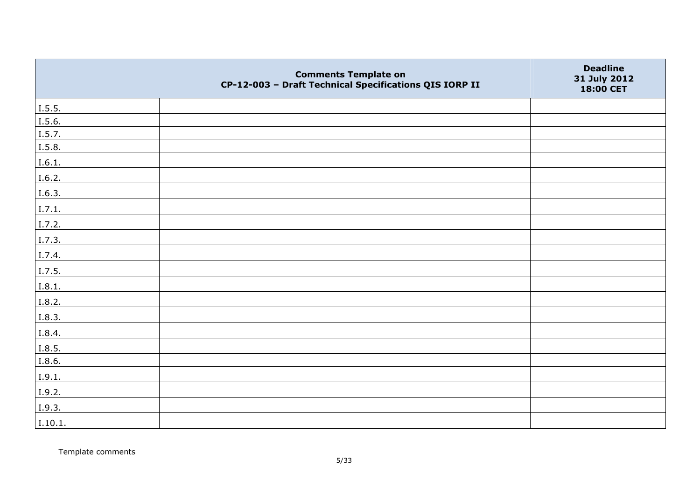|         | <b>Comments Template on</b><br>CP-12-003 - Draft Technical Specifications QIS IORP II | <b>Deadline</b><br>31 July 2012<br>18:00 CET |
|---------|---------------------------------------------------------------------------------------|----------------------------------------------|
| 1.5.5.  |                                                                                       |                                              |
| I.5.6.  |                                                                                       |                                              |
| I.5.7.  |                                                                                       |                                              |
| I.5.8.  |                                                                                       |                                              |
| I.6.1.  |                                                                                       |                                              |
| I.6.2.  |                                                                                       |                                              |
| I.6.3.  |                                                                                       |                                              |
| I.7.1.  |                                                                                       |                                              |
| I.7.2.  |                                                                                       |                                              |
| I.7.3.  |                                                                                       |                                              |
| I.7.4.  |                                                                                       |                                              |
| I.7.5.  |                                                                                       |                                              |
| I.8.1.  |                                                                                       |                                              |
| I.8.2.  |                                                                                       |                                              |
| I.8.3.  |                                                                                       |                                              |
| I.8.4.  |                                                                                       |                                              |
| I.8.5.  |                                                                                       |                                              |
| I.8.6.  |                                                                                       |                                              |
| I.9.1.  |                                                                                       |                                              |
| I.9.2.  |                                                                                       |                                              |
| I.9.3.  |                                                                                       |                                              |
| I.10.1. |                                                                                       |                                              |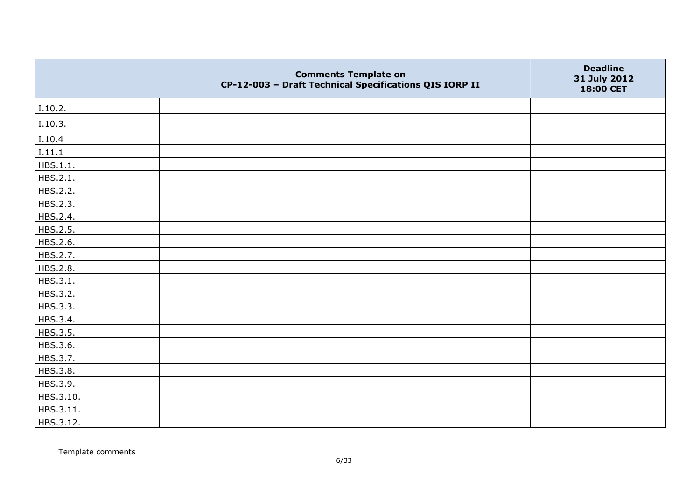|           | <b>Comments Template on</b><br>CP-12-003 - Draft Technical Specifications QIS IORP II | <b>Deadline</b><br>31 July 2012<br>18:00 CET |
|-----------|---------------------------------------------------------------------------------------|----------------------------------------------|
| I.10.2.   |                                                                                       |                                              |
| I.10.3.   |                                                                                       |                                              |
| I.10.4    |                                                                                       |                                              |
| I.11.1    |                                                                                       |                                              |
| HBS.1.1.  |                                                                                       |                                              |
| HBS.2.1.  |                                                                                       |                                              |
| HBS.2.2.  |                                                                                       |                                              |
| HBS.2.3.  |                                                                                       |                                              |
| HBS.2.4.  |                                                                                       |                                              |
| HBS.2.5.  |                                                                                       |                                              |
| HBS.2.6.  |                                                                                       |                                              |
| HBS.2.7.  |                                                                                       |                                              |
| HBS.2.8.  |                                                                                       |                                              |
| HBS.3.1.  |                                                                                       |                                              |
| HBS.3.2.  |                                                                                       |                                              |
| HBS.3.3.  |                                                                                       |                                              |
| HBS.3.4.  |                                                                                       |                                              |
| HBS.3.5.  |                                                                                       |                                              |
| HBS.3.6.  |                                                                                       |                                              |
| HBS.3.7.  |                                                                                       |                                              |
| HBS.3.8.  |                                                                                       |                                              |
| HBS.3.9.  |                                                                                       |                                              |
| HBS.3.10. |                                                                                       |                                              |
| HBS.3.11. |                                                                                       |                                              |
| HBS.3.12. |                                                                                       |                                              |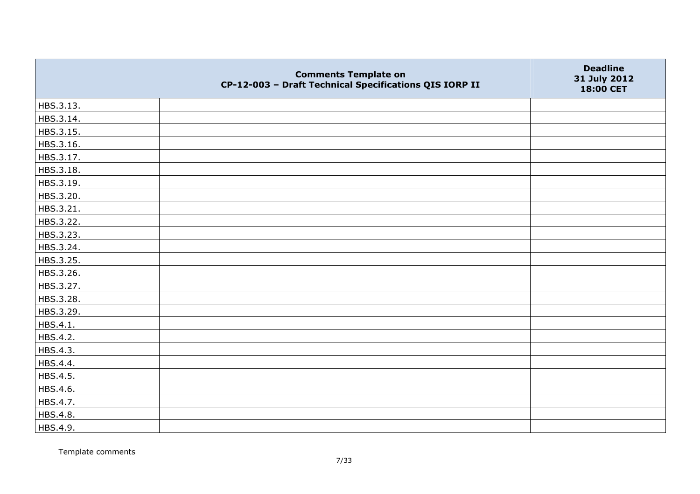|           | <b>Comments Template on</b><br>CP-12-003 - Draft Technical Specifications QIS IORP II | <b>Deadline</b><br>31 July 2012<br>18:00 CET |
|-----------|---------------------------------------------------------------------------------------|----------------------------------------------|
| HBS.3.13. |                                                                                       |                                              |
| HBS.3.14. |                                                                                       |                                              |
| HBS.3.15. |                                                                                       |                                              |
| HBS.3.16. |                                                                                       |                                              |
| HBS.3.17. |                                                                                       |                                              |
| HBS.3.18. |                                                                                       |                                              |
| HBS.3.19. |                                                                                       |                                              |
| HBS.3.20. |                                                                                       |                                              |
| HBS.3.21. |                                                                                       |                                              |
| HBS.3.22. |                                                                                       |                                              |
| HBS.3.23. |                                                                                       |                                              |
| HBS.3.24. |                                                                                       |                                              |
| HBS.3.25. |                                                                                       |                                              |
| HBS.3.26. |                                                                                       |                                              |
| HBS.3.27. |                                                                                       |                                              |
| HBS.3.28. |                                                                                       |                                              |
| HBS.3.29. |                                                                                       |                                              |
| HBS.4.1.  |                                                                                       |                                              |
| HBS.4.2.  |                                                                                       |                                              |
| HBS.4.3.  |                                                                                       |                                              |
| HBS.4.4.  |                                                                                       |                                              |
| HBS.4.5.  |                                                                                       |                                              |
| HBS.4.6.  |                                                                                       |                                              |
| HBS.4.7.  |                                                                                       |                                              |
| HBS.4.8.  |                                                                                       |                                              |
| HBS.4.9.  |                                                                                       |                                              |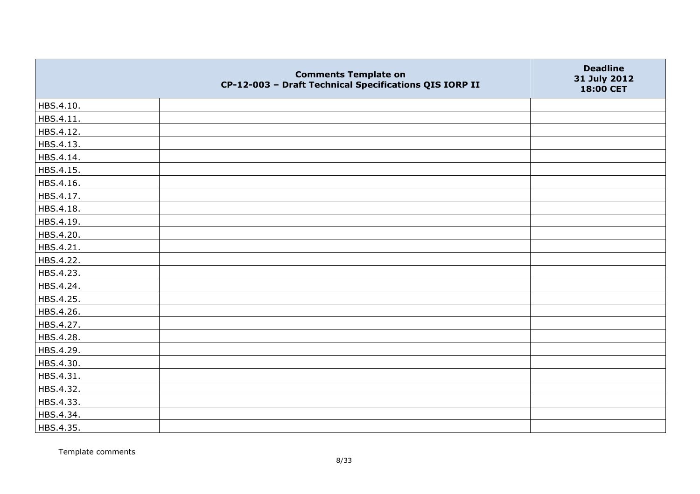|           | <b>Comments Template on</b><br>CP-12-003 - Draft Technical Specifications QIS IORP II | <b>Deadline</b><br>31 July 2012<br>18:00 CET |
|-----------|---------------------------------------------------------------------------------------|----------------------------------------------|
| HBS.4.10. |                                                                                       |                                              |
| HBS.4.11. |                                                                                       |                                              |
| HBS.4.12. |                                                                                       |                                              |
| HBS.4.13. |                                                                                       |                                              |
| HBS.4.14. |                                                                                       |                                              |
| HBS.4.15. |                                                                                       |                                              |
| HBS.4.16. |                                                                                       |                                              |
| HBS.4.17. |                                                                                       |                                              |
| HBS.4.18. |                                                                                       |                                              |
| HBS.4.19. |                                                                                       |                                              |
| HBS.4.20. |                                                                                       |                                              |
| HBS.4.21. |                                                                                       |                                              |
| HBS.4.22. |                                                                                       |                                              |
| HBS.4.23. |                                                                                       |                                              |
| HBS.4.24. |                                                                                       |                                              |
| HBS.4.25. |                                                                                       |                                              |
| HBS.4.26. |                                                                                       |                                              |
| HBS.4.27. |                                                                                       |                                              |
| HBS.4.28. |                                                                                       |                                              |
| HBS.4.29. |                                                                                       |                                              |
| HBS.4.30. |                                                                                       |                                              |
| HBS.4.31. |                                                                                       |                                              |
| HBS.4.32. |                                                                                       |                                              |
| HBS.4.33. |                                                                                       |                                              |
| HBS.4.34. |                                                                                       |                                              |
| HBS.4.35. |                                                                                       |                                              |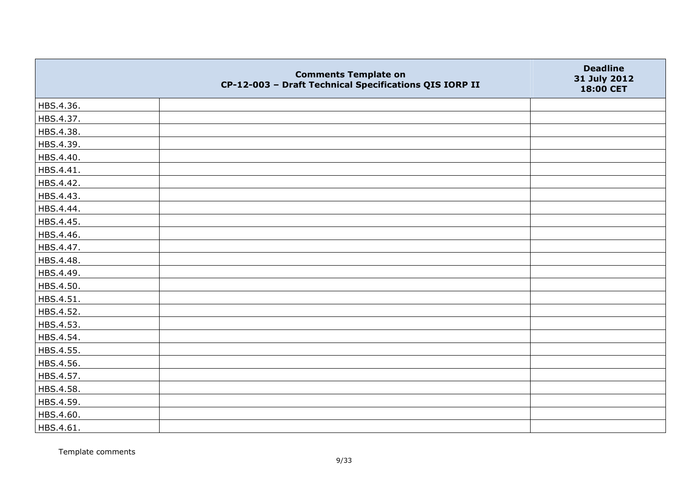|           | <b>Comments Template on</b><br>CP-12-003 - Draft Technical Specifications QIS IORP II | <b>Deadline</b><br>31 July 2012<br>18:00 CET |
|-----------|---------------------------------------------------------------------------------------|----------------------------------------------|
| HBS.4.36. |                                                                                       |                                              |
| HBS.4.37. |                                                                                       |                                              |
| HBS.4.38. |                                                                                       |                                              |
| HBS.4.39. |                                                                                       |                                              |
| HBS.4.40. |                                                                                       |                                              |
| HBS.4.41. |                                                                                       |                                              |
| HBS.4.42. |                                                                                       |                                              |
| HBS.4.43. |                                                                                       |                                              |
| HBS.4.44. |                                                                                       |                                              |
| HBS.4.45. |                                                                                       |                                              |
| HBS.4.46. |                                                                                       |                                              |
| HBS.4.47. |                                                                                       |                                              |
| HBS.4.48. |                                                                                       |                                              |
| HBS.4.49. |                                                                                       |                                              |
| HBS.4.50. |                                                                                       |                                              |
| HBS.4.51. |                                                                                       |                                              |
| HBS.4.52. |                                                                                       |                                              |
| HBS.4.53. |                                                                                       |                                              |
| HBS.4.54. |                                                                                       |                                              |
| HBS.4.55. |                                                                                       |                                              |
| HBS.4.56. |                                                                                       |                                              |
| HBS.4.57. |                                                                                       |                                              |
| HBS.4.58. |                                                                                       |                                              |
| HBS.4.59. |                                                                                       |                                              |
| HBS.4.60. |                                                                                       |                                              |
| HBS.4.61. |                                                                                       |                                              |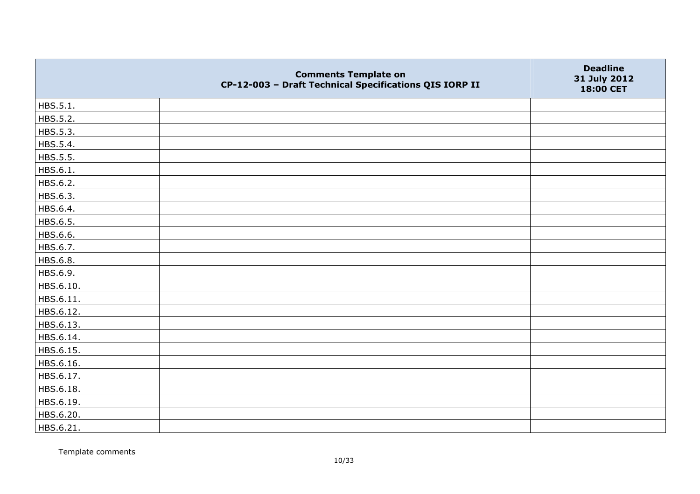|           | <b>Comments Template on</b><br>CP-12-003 - Draft Technical Specifications QIS IORP II | <b>Deadline</b><br>31 July 2012<br>18:00 CET |
|-----------|---------------------------------------------------------------------------------------|----------------------------------------------|
| HBS.5.1.  |                                                                                       |                                              |
| HBS.5.2.  |                                                                                       |                                              |
| HBS.5.3.  |                                                                                       |                                              |
| HBS.5.4.  |                                                                                       |                                              |
| HBS.5.5.  |                                                                                       |                                              |
| HBS.6.1.  |                                                                                       |                                              |
| HBS.6.2.  |                                                                                       |                                              |
| HBS.6.3.  |                                                                                       |                                              |
| HBS.6.4.  |                                                                                       |                                              |
| HBS.6.5.  |                                                                                       |                                              |
| HBS.6.6.  |                                                                                       |                                              |
| HBS.6.7.  |                                                                                       |                                              |
| HBS.6.8.  |                                                                                       |                                              |
| HBS.6.9.  |                                                                                       |                                              |
| HBS.6.10. |                                                                                       |                                              |
| HBS.6.11. |                                                                                       |                                              |
| HBS.6.12. |                                                                                       |                                              |
| HBS.6.13. |                                                                                       |                                              |
| HBS.6.14. |                                                                                       |                                              |
| HBS.6.15. |                                                                                       |                                              |
| HBS.6.16. |                                                                                       |                                              |
| HBS.6.17. |                                                                                       |                                              |
| HBS.6.18. |                                                                                       |                                              |
| HBS.6.19. |                                                                                       |                                              |
| HBS.6.20. |                                                                                       |                                              |
| HBS.6.21. |                                                                                       |                                              |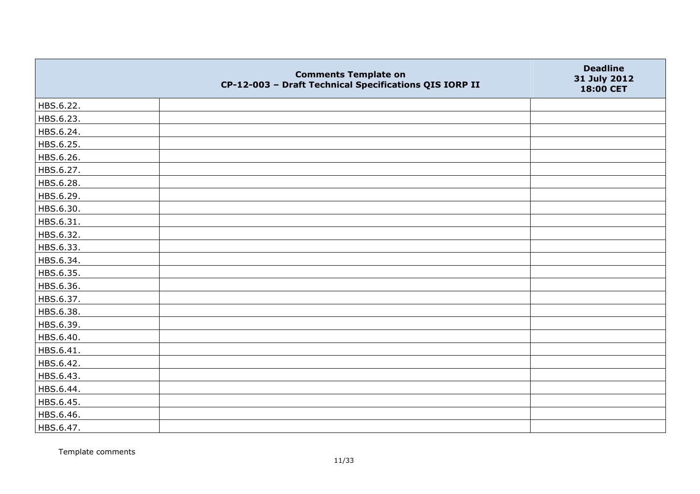|           | <b>Comments Template on</b><br>CP-12-003 - Draft Technical Specifications QIS IORP II | <b>Deadline</b><br>31 July 2012<br>18:00 CET |
|-----------|---------------------------------------------------------------------------------------|----------------------------------------------|
| HBS.6.22. |                                                                                       |                                              |
| HBS.6.23. |                                                                                       |                                              |
| HBS.6.24. |                                                                                       |                                              |
| HBS.6.25. |                                                                                       |                                              |
| HBS.6.26. |                                                                                       |                                              |
| HBS.6.27. |                                                                                       |                                              |
| HBS.6.28. |                                                                                       |                                              |
| HBS.6.29. |                                                                                       |                                              |
| HBS.6.30. |                                                                                       |                                              |
| HBS.6.31. |                                                                                       |                                              |
| HBS.6.32. |                                                                                       |                                              |
| HBS.6.33. |                                                                                       |                                              |
| HBS.6.34. |                                                                                       |                                              |
| HBS.6.35. |                                                                                       |                                              |
| HBS.6.36. |                                                                                       |                                              |
| HBS.6.37. |                                                                                       |                                              |
| HBS.6.38. |                                                                                       |                                              |
| HBS.6.39. |                                                                                       |                                              |
| HBS.6.40. |                                                                                       |                                              |
| HBS.6.41. |                                                                                       |                                              |
| HBS.6.42. |                                                                                       |                                              |
| HBS.6.43. |                                                                                       |                                              |
| HBS.6.44. |                                                                                       |                                              |
| HBS.6.45. |                                                                                       |                                              |
| HBS.6.46. |                                                                                       |                                              |
| HBS.6.47. |                                                                                       |                                              |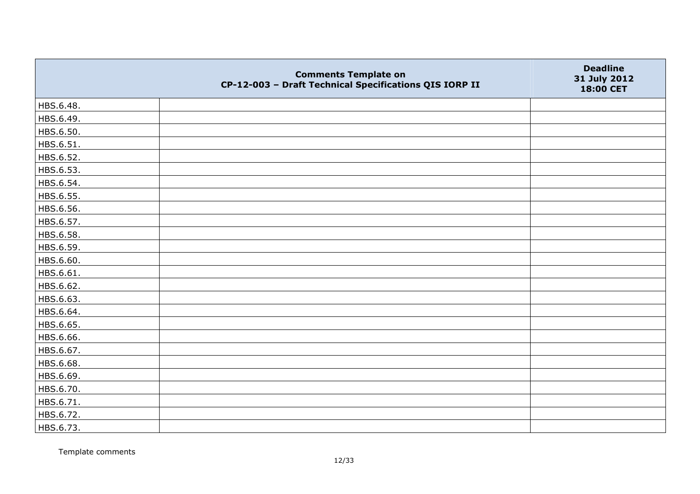|           | <b>Comments Template on</b><br>CP-12-003 - Draft Technical Specifications QIS IORP II | <b>Deadline</b><br>31 July 2012<br>18:00 CET |
|-----------|---------------------------------------------------------------------------------------|----------------------------------------------|
| HBS.6.48. |                                                                                       |                                              |
| HBS.6.49. |                                                                                       |                                              |
| HBS.6.50. |                                                                                       |                                              |
| HBS.6.51. |                                                                                       |                                              |
| HBS.6.52. |                                                                                       |                                              |
| HBS.6.53. |                                                                                       |                                              |
| HBS.6.54. |                                                                                       |                                              |
| HBS.6.55. |                                                                                       |                                              |
| HBS.6.56. |                                                                                       |                                              |
| HBS.6.57. |                                                                                       |                                              |
| HBS.6.58. |                                                                                       |                                              |
| HBS.6.59. |                                                                                       |                                              |
| HBS.6.60. |                                                                                       |                                              |
| HBS.6.61. |                                                                                       |                                              |
| HBS.6.62. |                                                                                       |                                              |
| HBS.6.63. |                                                                                       |                                              |
| HBS.6.64. |                                                                                       |                                              |
| HBS.6.65. |                                                                                       |                                              |
| HBS.6.66. |                                                                                       |                                              |
| HBS.6.67. |                                                                                       |                                              |
| HBS.6.68. |                                                                                       |                                              |
| HBS.6.69. |                                                                                       |                                              |
| HBS.6.70. |                                                                                       |                                              |
| HBS.6.71. |                                                                                       |                                              |
| HBS.6.72. |                                                                                       |                                              |
| HBS.6.73. |                                                                                       |                                              |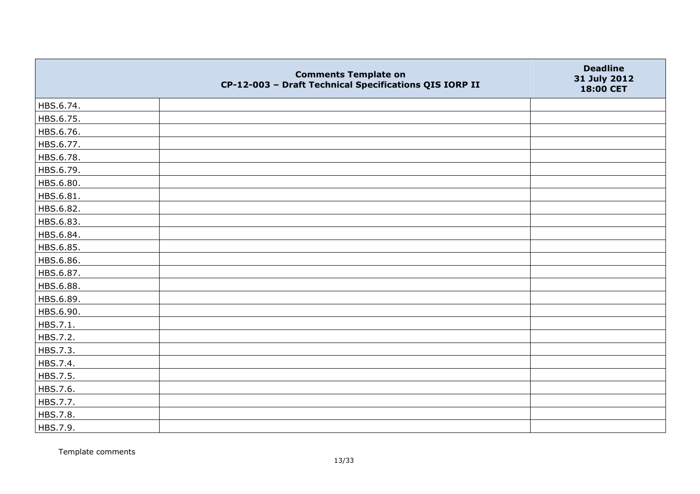|           | <b>Comments Template on</b><br>CP-12-003 - Draft Technical Specifications QIS IORP II | <b>Deadline</b><br>31 July 2012<br>18:00 CET |
|-----------|---------------------------------------------------------------------------------------|----------------------------------------------|
| HBS.6.74. |                                                                                       |                                              |
| HBS.6.75. |                                                                                       |                                              |
| HBS.6.76. |                                                                                       |                                              |
| HBS.6.77. |                                                                                       |                                              |
| HBS.6.78. |                                                                                       |                                              |
| HBS.6.79. |                                                                                       |                                              |
| HBS.6.80. |                                                                                       |                                              |
| HBS.6.81. |                                                                                       |                                              |
| HBS.6.82. |                                                                                       |                                              |
| HBS.6.83. |                                                                                       |                                              |
| HBS.6.84. |                                                                                       |                                              |
| HBS.6.85. |                                                                                       |                                              |
| HBS.6.86. |                                                                                       |                                              |
| HBS.6.87. |                                                                                       |                                              |
| HBS.6.88. |                                                                                       |                                              |
| HBS.6.89. |                                                                                       |                                              |
| HBS.6.90. |                                                                                       |                                              |
| HBS.7.1.  |                                                                                       |                                              |
| HBS.7.2.  |                                                                                       |                                              |
| HBS.7.3.  |                                                                                       |                                              |
| HBS.7.4.  |                                                                                       |                                              |
| HBS.7.5.  |                                                                                       |                                              |
| HBS.7.6.  |                                                                                       |                                              |
| HBS.7.7.  |                                                                                       |                                              |
| HBS.7.8.  |                                                                                       |                                              |
| HBS.7.9.  |                                                                                       |                                              |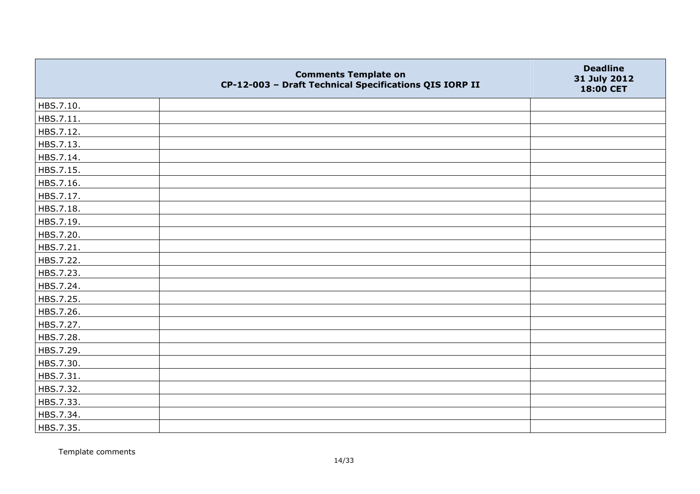|           | <b>Comments Template on</b><br>CP-12-003 - Draft Technical Specifications QIS IORP II | <b>Deadline</b><br>31 July 2012<br>18:00 CET |
|-----------|---------------------------------------------------------------------------------------|----------------------------------------------|
| HBS.7.10. |                                                                                       |                                              |
| HBS.7.11. |                                                                                       |                                              |
| HBS.7.12. |                                                                                       |                                              |
| HBS.7.13. |                                                                                       |                                              |
| HBS.7.14. |                                                                                       |                                              |
| HBS.7.15. |                                                                                       |                                              |
| HBS.7.16. |                                                                                       |                                              |
| HBS.7.17. |                                                                                       |                                              |
| HBS.7.18. |                                                                                       |                                              |
| HBS.7.19. |                                                                                       |                                              |
| HBS.7.20. |                                                                                       |                                              |
| HBS.7.21. |                                                                                       |                                              |
| HBS.7.22. |                                                                                       |                                              |
| HBS.7.23. |                                                                                       |                                              |
| HBS.7.24. |                                                                                       |                                              |
| HBS.7.25. |                                                                                       |                                              |
| HBS.7.26. |                                                                                       |                                              |
| HBS.7.27. |                                                                                       |                                              |
| HBS.7.28. |                                                                                       |                                              |
| HBS.7.29. |                                                                                       |                                              |
| HBS.7.30. |                                                                                       |                                              |
| HBS.7.31. |                                                                                       |                                              |
| HBS.7.32. |                                                                                       |                                              |
| HBS.7.33. |                                                                                       |                                              |
| HBS.7.34. |                                                                                       |                                              |
| HBS.7.35. |                                                                                       |                                              |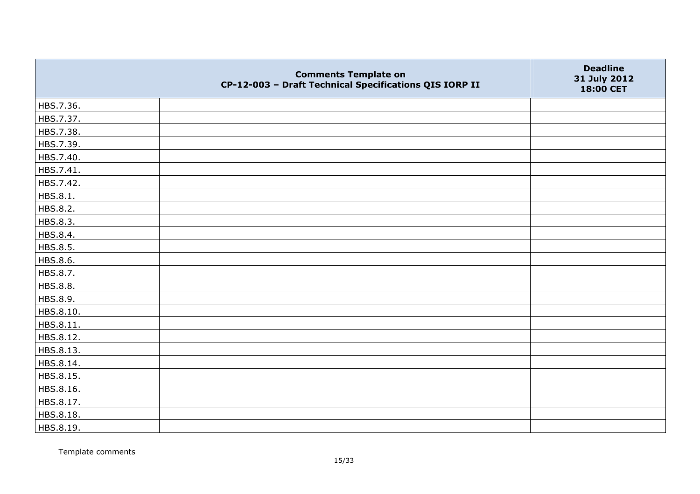|           | <b>Comments Template on</b><br>CP-12-003 - Draft Technical Specifications QIS IORP II | <b>Deadline</b><br>31 July 2012<br>18:00 CET |
|-----------|---------------------------------------------------------------------------------------|----------------------------------------------|
| HBS.7.36. |                                                                                       |                                              |
| HBS.7.37. |                                                                                       |                                              |
| HBS.7.38. |                                                                                       |                                              |
| HBS.7.39. |                                                                                       |                                              |
| HBS.7.40. |                                                                                       |                                              |
| HBS.7.41. |                                                                                       |                                              |
| HBS.7.42. |                                                                                       |                                              |
| HBS.8.1.  |                                                                                       |                                              |
| HBS.8.2.  |                                                                                       |                                              |
| HBS.8.3.  |                                                                                       |                                              |
| HBS.8.4.  |                                                                                       |                                              |
| HBS.8.5.  |                                                                                       |                                              |
| HBS.8.6.  |                                                                                       |                                              |
| HBS.8.7.  |                                                                                       |                                              |
| HBS.8.8.  |                                                                                       |                                              |
| HBS.8.9.  |                                                                                       |                                              |
| HBS.8.10. |                                                                                       |                                              |
| HBS.8.11. |                                                                                       |                                              |
| HBS.8.12. |                                                                                       |                                              |
| HBS.8.13. |                                                                                       |                                              |
| HBS.8.14. |                                                                                       |                                              |
| HBS.8.15. |                                                                                       |                                              |
| HBS.8.16. |                                                                                       |                                              |
| HBS.8.17. |                                                                                       |                                              |
| HBS.8.18. |                                                                                       |                                              |
| HBS.8.19. |                                                                                       |                                              |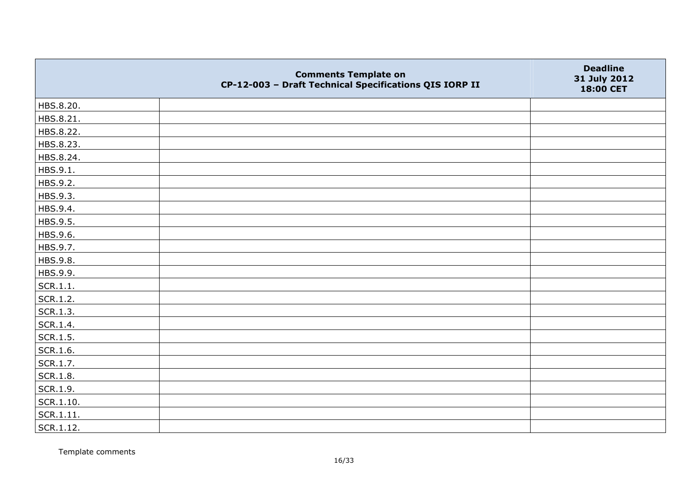|                   | <b>Comments Template on</b><br>CP-12-003 - Draft Technical Specifications QIS IORP II | <b>Deadline</b><br>31 July 2012<br>18:00 CET |
|-------------------|---------------------------------------------------------------------------------------|----------------------------------------------|
| HBS.8.20.         |                                                                                       |                                              |
| HBS.8.21.         |                                                                                       |                                              |
| HBS.8.22.         |                                                                                       |                                              |
| HBS.8.23.         |                                                                                       |                                              |
| HBS.8.24.         |                                                                                       |                                              |
| HBS.9.1.          |                                                                                       |                                              |
| HBS.9.2.          |                                                                                       |                                              |
| HBS.9.3.          |                                                                                       |                                              |
| HBS.9.4.          |                                                                                       |                                              |
| HBS.9.5.          |                                                                                       |                                              |
| HBS.9.6.          |                                                                                       |                                              |
| HBS.9.7.          |                                                                                       |                                              |
| HBS.9.8.          |                                                                                       |                                              |
| HBS.9.9.          |                                                                                       |                                              |
| SCR.1.1.          |                                                                                       |                                              |
| SCR.1.2.          |                                                                                       |                                              |
| SCR.1.3.          |                                                                                       |                                              |
| SCR.1.4.          |                                                                                       |                                              |
| SCR.1.5.          |                                                                                       |                                              |
| SCR.1.6.          |                                                                                       |                                              |
| SCR.1.7.          |                                                                                       |                                              |
| <b>SCR.1.8.</b>   |                                                                                       |                                              |
| SCR.1.9.          |                                                                                       |                                              |
| $\vert$ SCR.1.10. |                                                                                       |                                              |
| SCR.1.11.         |                                                                                       |                                              |
| $ $ SCR.1.12.     |                                                                                       |                                              |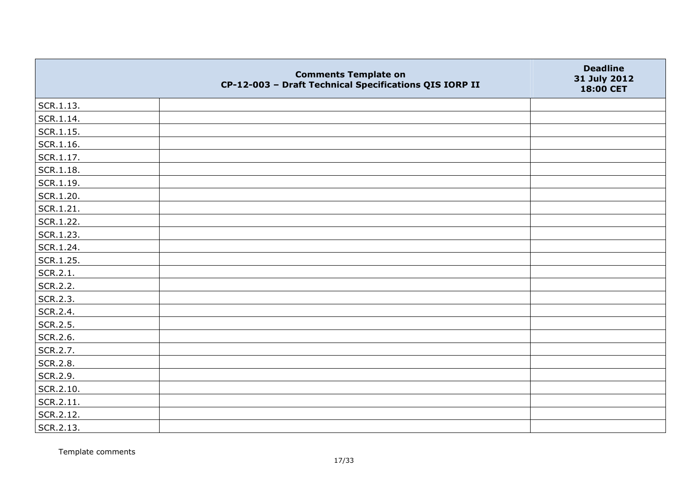|           | <b>Comments Template on</b><br>CP-12-003 - Draft Technical Specifications QIS IORP II | <b>Deadline</b><br>31 July 2012<br>18:00 CET |
|-----------|---------------------------------------------------------------------------------------|----------------------------------------------|
| SCR.1.13. |                                                                                       |                                              |
| SCR.1.14. |                                                                                       |                                              |
| SCR.1.15. |                                                                                       |                                              |
| SCR.1.16. |                                                                                       |                                              |
| SCR.1.17. |                                                                                       |                                              |
| SCR.1.18. |                                                                                       |                                              |
| SCR.1.19. |                                                                                       |                                              |
| SCR.1.20. |                                                                                       |                                              |
| SCR.1.21. |                                                                                       |                                              |
| SCR.1.22. |                                                                                       |                                              |
| SCR.1.23. |                                                                                       |                                              |
| SCR.1.24. |                                                                                       |                                              |
| SCR.1.25. |                                                                                       |                                              |
| SCR.2.1.  |                                                                                       |                                              |
| SCR.2.2.  |                                                                                       |                                              |
| SCR.2.3.  |                                                                                       |                                              |
| SCR.2.4.  |                                                                                       |                                              |
| SCR.2.5.  |                                                                                       |                                              |
| SCR.2.6.  |                                                                                       |                                              |
| SCR.2.7.  |                                                                                       |                                              |
| SCR.2.8.  |                                                                                       |                                              |
| SCR.2.9.  |                                                                                       |                                              |
| SCR.2.10. |                                                                                       |                                              |
| SCR.2.11. |                                                                                       |                                              |
| SCR.2.12. |                                                                                       |                                              |
| SCR.2.13. |                                                                                       |                                              |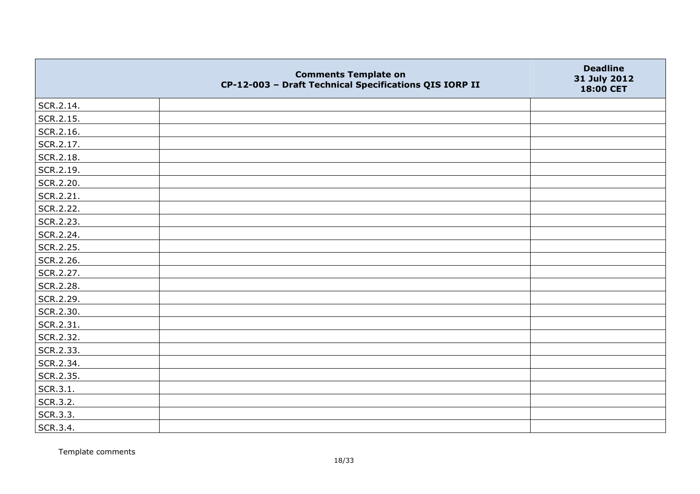|           | <b>Comments Template on</b><br>CP-12-003 - Draft Technical Specifications QIS IORP II | <b>Deadline</b><br>31 July 2012<br>18:00 CET |
|-----------|---------------------------------------------------------------------------------------|----------------------------------------------|
| SCR.2.14. |                                                                                       |                                              |
| SCR.2.15. |                                                                                       |                                              |
| SCR.2.16. |                                                                                       |                                              |
| SCR.2.17. |                                                                                       |                                              |
| SCR.2.18. |                                                                                       |                                              |
| SCR.2.19. |                                                                                       |                                              |
| SCR.2.20. |                                                                                       |                                              |
| SCR.2.21. |                                                                                       |                                              |
| SCR.2.22. |                                                                                       |                                              |
| SCR.2.23. |                                                                                       |                                              |
| SCR.2.24. |                                                                                       |                                              |
| SCR.2.25. |                                                                                       |                                              |
| SCR.2.26. |                                                                                       |                                              |
| SCR.2.27. |                                                                                       |                                              |
| SCR.2.28. |                                                                                       |                                              |
| SCR.2.29. |                                                                                       |                                              |
| SCR.2.30. |                                                                                       |                                              |
| SCR.2.31. |                                                                                       |                                              |
| SCR.2.32. |                                                                                       |                                              |
| SCR.2.33. |                                                                                       |                                              |
| SCR.2.34. |                                                                                       |                                              |
| SCR.2.35. |                                                                                       |                                              |
| SCR.3.1.  |                                                                                       |                                              |
| SCR.3.2.  |                                                                                       |                                              |
| SCR.3.3.  |                                                                                       |                                              |
| SCR.3.4.  |                                                                                       |                                              |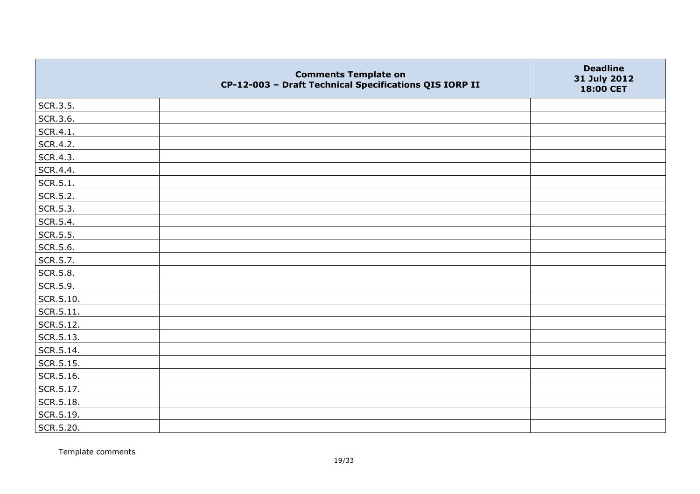|                   | <b>Comments Template on</b><br>CP-12-003 - Draft Technical Specifications QIS IORP II | <b>Deadline</b><br>31 July 2012<br>18:00 CET |
|-------------------|---------------------------------------------------------------------------------------|----------------------------------------------|
| SCR.3.5.          |                                                                                       |                                              |
| SCR.3.6.          |                                                                                       |                                              |
| SCR.4.1.          |                                                                                       |                                              |
| SCR.4.2.          |                                                                                       |                                              |
| SCR.4.3.          |                                                                                       |                                              |
| SCR.4.4.          |                                                                                       |                                              |
| SCR.5.1.          |                                                                                       |                                              |
| SCR.5.2.          |                                                                                       |                                              |
| SCR.5.3.          |                                                                                       |                                              |
| SCR.5.4.          |                                                                                       |                                              |
| SCR.5.5.          |                                                                                       |                                              |
| SCR.5.6.          |                                                                                       |                                              |
| SCR.5.7.          |                                                                                       |                                              |
| SCR.5.8.          |                                                                                       |                                              |
| SCR.5.9.          |                                                                                       |                                              |
| SCR.5.10.         |                                                                                       |                                              |
| SCR.5.11.         |                                                                                       |                                              |
| SCR.5.12.         |                                                                                       |                                              |
| SCR.5.13.         |                                                                                       |                                              |
| SCR.5.14.         |                                                                                       |                                              |
| SCR.5.15.         |                                                                                       |                                              |
| SCR.5.16.         |                                                                                       |                                              |
| SCR.5.17.         |                                                                                       |                                              |
| $\vert$ SCR.5.18. |                                                                                       |                                              |
| SCR.5.19.         |                                                                                       |                                              |
| SCR.5.20.         |                                                                                       |                                              |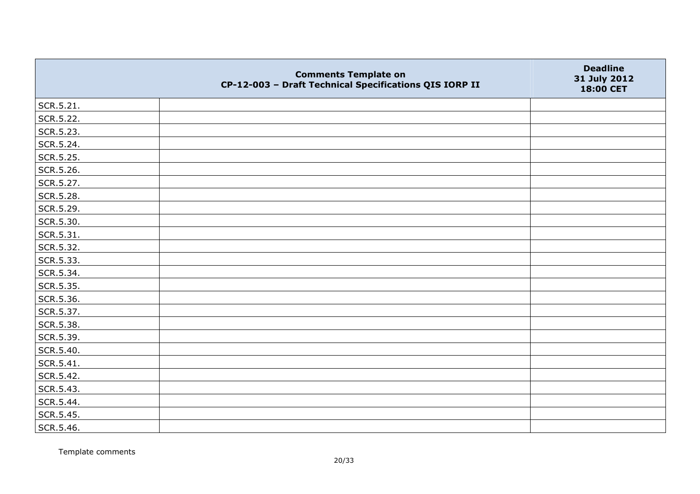|               | <b>Comments Template on</b><br>CP-12-003 - Draft Technical Specifications QIS IORP II | <b>Deadline</b><br>31 July 2012<br>18:00 CET |
|---------------|---------------------------------------------------------------------------------------|----------------------------------------------|
| SCR.5.21.     |                                                                                       |                                              |
| SCR.5.22.     |                                                                                       |                                              |
| SCR.5.23.     |                                                                                       |                                              |
| SCR.5.24.     |                                                                                       |                                              |
| SCR.5.25.     |                                                                                       |                                              |
| SCR.5.26.     |                                                                                       |                                              |
| SCR.5.27.     |                                                                                       |                                              |
| SCR.5.28.     |                                                                                       |                                              |
| SCR.5.29.     |                                                                                       |                                              |
| SCR.5.30.     |                                                                                       |                                              |
| SCR.5.31.     |                                                                                       |                                              |
| SCR.5.32.     |                                                                                       |                                              |
| SCR.5.33.     |                                                                                       |                                              |
| SCR.5.34.     |                                                                                       |                                              |
| SCR.5.35.     |                                                                                       |                                              |
| SCR.5.36.     |                                                                                       |                                              |
| SCR.5.37.     |                                                                                       |                                              |
| SCR.5.38.     |                                                                                       |                                              |
| SCR.5.39.     |                                                                                       |                                              |
| SCR.5.40.     |                                                                                       |                                              |
| $ $ SCR.5.41. |                                                                                       |                                              |
| SCR.5.42.     |                                                                                       |                                              |
| SCR.5.43.     |                                                                                       |                                              |
| SCR.5.44.     |                                                                                       |                                              |
| SCR.5.45.     |                                                                                       |                                              |
| SCR.5.46.     |                                                                                       |                                              |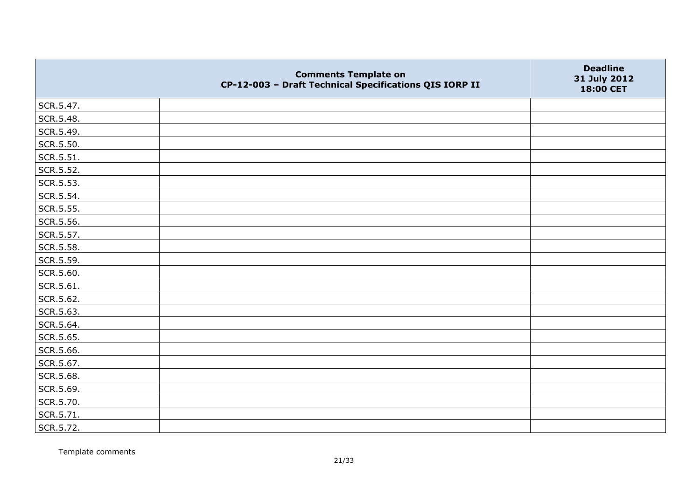|           | <b>Comments Template on</b><br>CP-12-003 - Draft Technical Specifications QIS IORP II | <b>Deadline</b><br>31 July 2012<br>18:00 CET |
|-----------|---------------------------------------------------------------------------------------|----------------------------------------------|
| SCR.5.47. |                                                                                       |                                              |
| SCR.5.48. |                                                                                       |                                              |
| SCR.5.49. |                                                                                       |                                              |
| SCR.5.50. |                                                                                       |                                              |
| SCR.5.51. |                                                                                       |                                              |
| SCR.5.52. |                                                                                       |                                              |
| SCR.5.53. |                                                                                       |                                              |
| SCR.5.54. |                                                                                       |                                              |
| SCR.5.55. |                                                                                       |                                              |
| SCR.5.56. |                                                                                       |                                              |
| SCR.5.57. |                                                                                       |                                              |
| SCR.5.58. |                                                                                       |                                              |
| SCR.5.59. |                                                                                       |                                              |
| SCR.5.60. |                                                                                       |                                              |
| SCR.5.61. |                                                                                       |                                              |
| SCR.5.62. |                                                                                       |                                              |
| SCR.5.63. |                                                                                       |                                              |
| SCR.5.64. |                                                                                       |                                              |
| SCR.5.65. |                                                                                       |                                              |
| SCR.5.66. |                                                                                       |                                              |
| SCR.5.67. |                                                                                       |                                              |
| SCR.5.68. |                                                                                       |                                              |
| SCR.5.69. |                                                                                       |                                              |
| SCR.5.70. |                                                                                       |                                              |
| SCR.5.71. |                                                                                       |                                              |
| SCR.5.72. |                                                                                       |                                              |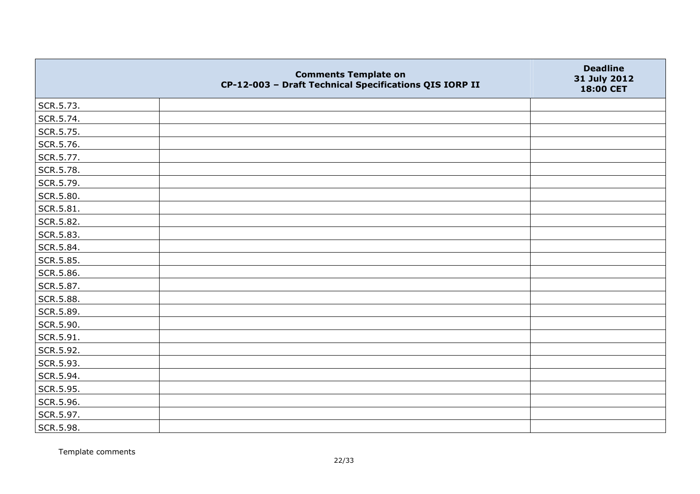|           | <b>Comments Template on</b><br>CP-12-003 - Draft Technical Specifications QIS IORP II | <b>Deadline</b><br>31 July 2012<br>18:00 CET |
|-----------|---------------------------------------------------------------------------------------|----------------------------------------------|
| SCR.5.73. |                                                                                       |                                              |
| SCR.5.74. |                                                                                       |                                              |
| SCR.5.75. |                                                                                       |                                              |
| SCR.5.76. |                                                                                       |                                              |
| SCR.5.77. |                                                                                       |                                              |
| SCR.5.78. |                                                                                       |                                              |
| SCR.5.79. |                                                                                       |                                              |
| SCR.5.80. |                                                                                       |                                              |
| SCR.5.81. |                                                                                       |                                              |
| SCR.5.82. |                                                                                       |                                              |
| SCR.5.83. |                                                                                       |                                              |
| SCR.5.84. |                                                                                       |                                              |
| SCR.5.85. |                                                                                       |                                              |
| SCR.5.86. |                                                                                       |                                              |
| SCR.5.87. |                                                                                       |                                              |
| SCR.5.88. |                                                                                       |                                              |
| SCR.5.89. |                                                                                       |                                              |
| SCR.5.90. |                                                                                       |                                              |
| SCR.5.91. |                                                                                       |                                              |
| SCR.5.92. |                                                                                       |                                              |
| SCR.5.93. |                                                                                       |                                              |
| SCR.5.94. |                                                                                       |                                              |
| SCR.5.95. |                                                                                       |                                              |
| SCR.5.96. |                                                                                       |                                              |
| SCR.5.97. |                                                                                       |                                              |
| SCR.5.98. |                                                                                       |                                              |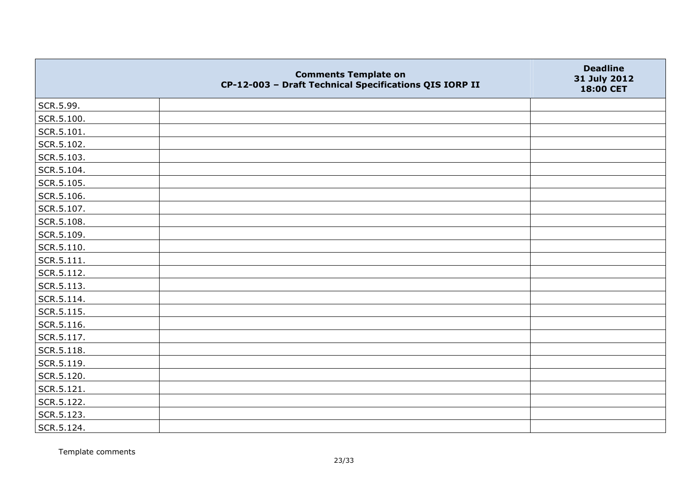|            | <b>Comments Template on</b><br>CP-12-003 - Draft Technical Specifications QIS IORP II | <b>Deadline</b><br>31 July 2012<br>18:00 CET |
|------------|---------------------------------------------------------------------------------------|----------------------------------------------|
| SCR.5.99.  |                                                                                       |                                              |
| SCR.5.100. |                                                                                       |                                              |
| SCR.5.101. |                                                                                       |                                              |
| SCR.5.102. |                                                                                       |                                              |
| SCR.5.103. |                                                                                       |                                              |
| SCR.5.104. |                                                                                       |                                              |
| SCR.5.105. |                                                                                       |                                              |
| SCR.5.106. |                                                                                       |                                              |
| SCR.5.107. |                                                                                       |                                              |
| SCR.5.108. |                                                                                       |                                              |
| SCR.5.109. |                                                                                       |                                              |
| SCR.5.110. |                                                                                       |                                              |
| SCR.5.111. |                                                                                       |                                              |
| SCR.5.112. |                                                                                       |                                              |
| SCR.5.113. |                                                                                       |                                              |
| SCR.5.114. |                                                                                       |                                              |
| SCR.5.115. |                                                                                       |                                              |
| SCR.5.116. |                                                                                       |                                              |
| SCR.5.117. |                                                                                       |                                              |
| SCR.5.118. |                                                                                       |                                              |
| SCR.5.119. |                                                                                       |                                              |
| SCR.5.120. |                                                                                       |                                              |
| SCR.5.121. |                                                                                       |                                              |
| SCR.5.122. |                                                                                       |                                              |
| SCR.5.123. |                                                                                       |                                              |
| SCR.5.124. |                                                                                       |                                              |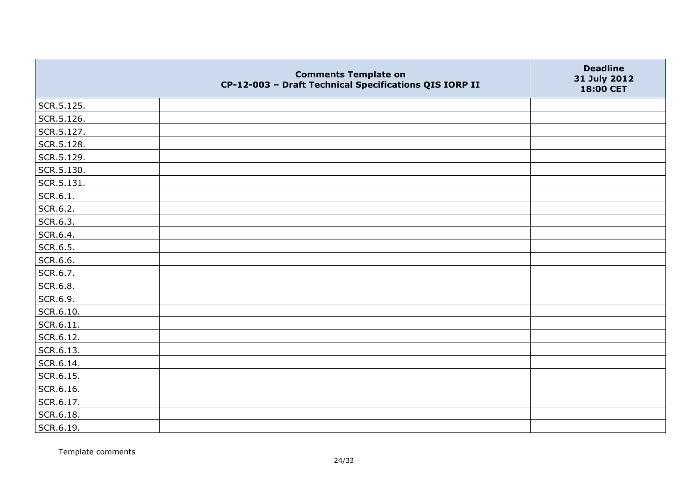|            | <b>Comments Template on</b><br>CP-12-003 - Draft Technical Specifications QIS IORP II | <b>Deadline</b><br>31 July 2012<br>18:00 CET |
|------------|---------------------------------------------------------------------------------------|----------------------------------------------|
| SCR.5.125. |                                                                                       |                                              |
| SCR.5.126. |                                                                                       |                                              |
| SCR.5.127. |                                                                                       |                                              |
| SCR.5.128. |                                                                                       |                                              |
| SCR.5.129. |                                                                                       |                                              |
| SCR.5.130. |                                                                                       |                                              |
| SCR.5.131. |                                                                                       |                                              |
| SCR.6.1.   |                                                                                       |                                              |
| SCR.6.2.   |                                                                                       |                                              |
| SCR.6.3.   |                                                                                       |                                              |
| SCR.6.4.   |                                                                                       |                                              |
| SCR.6.5.   |                                                                                       |                                              |
| SCR.6.6.   |                                                                                       |                                              |
| SCR.6.7.   |                                                                                       |                                              |
| SCR.6.8.   |                                                                                       |                                              |
| SCR.6.9.   |                                                                                       |                                              |
| SCR.6.10.  |                                                                                       |                                              |
| SCR.6.11.  |                                                                                       |                                              |
| SCR.6.12.  |                                                                                       |                                              |
| SCR.6.13.  |                                                                                       |                                              |
| SCR.6.14.  |                                                                                       |                                              |
| SCR.6.15.  |                                                                                       |                                              |
| SCR.6.16.  |                                                                                       |                                              |
| SCR.6.17.  |                                                                                       |                                              |
| SCR.6.18.  |                                                                                       |                                              |
| SCR.6.19.  |                                                                                       |                                              |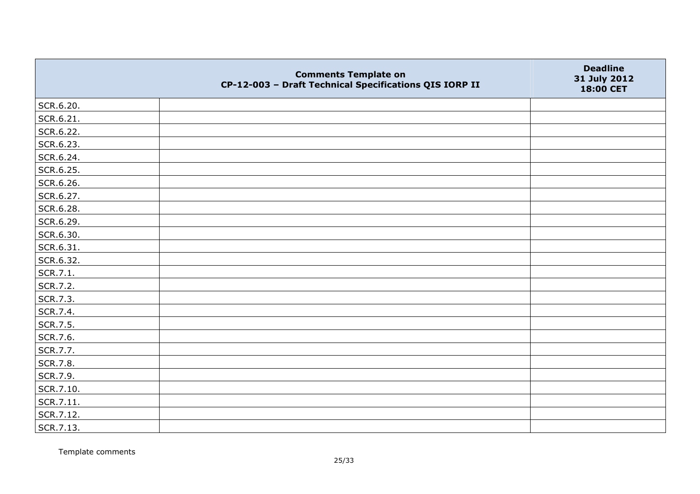|           | <b>Comments Template on</b><br>CP-12-003 - Draft Technical Specifications QIS IORP II | <b>Deadline</b><br>31 July 2012<br>18:00 CET |
|-----------|---------------------------------------------------------------------------------------|----------------------------------------------|
| SCR.6.20. |                                                                                       |                                              |
| SCR.6.21. |                                                                                       |                                              |
| SCR.6.22. |                                                                                       |                                              |
| SCR.6.23. |                                                                                       |                                              |
| SCR.6.24. |                                                                                       |                                              |
| SCR.6.25. |                                                                                       |                                              |
| SCR.6.26. |                                                                                       |                                              |
| SCR.6.27. |                                                                                       |                                              |
| SCR.6.28. |                                                                                       |                                              |
| SCR.6.29. |                                                                                       |                                              |
| SCR.6.30. |                                                                                       |                                              |
| SCR.6.31. |                                                                                       |                                              |
| SCR.6.32. |                                                                                       |                                              |
| SCR.7.1.  |                                                                                       |                                              |
| SCR.7.2.  |                                                                                       |                                              |
| SCR.7.3.  |                                                                                       |                                              |
| SCR.7.4.  |                                                                                       |                                              |
| SCR.7.5.  |                                                                                       |                                              |
| SCR.7.6.  |                                                                                       |                                              |
| SCR.7.7.  |                                                                                       |                                              |
| SCR.7.8.  |                                                                                       |                                              |
| SCR.7.9.  |                                                                                       |                                              |
| SCR.7.10. |                                                                                       |                                              |
| SCR.7.11. |                                                                                       |                                              |
| SCR.7.12. |                                                                                       |                                              |
| SCR.7.13. |                                                                                       |                                              |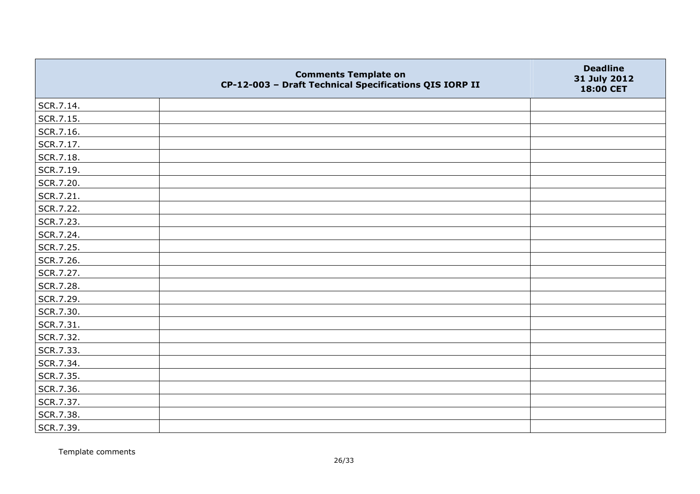|           | <b>Comments Template on</b><br>CP-12-003 - Draft Technical Specifications QIS IORP II | <b>Deadline</b><br>31 July 2012<br>18:00 CET |
|-----------|---------------------------------------------------------------------------------------|----------------------------------------------|
| SCR.7.14. |                                                                                       |                                              |
| SCR.7.15. |                                                                                       |                                              |
| SCR.7.16. |                                                                                       |                                              |
| SCR.7.17. |                                                                                       |                                              |
| SCR.7.18. |                                                                                       |                                              |
| SCR.7.19. |                                                                                       |                                              |
| SCR.7.20. |                                                                                       |                                              |
| SCR.7.21. |                                                                                       |                                              |
| SCR.7.22. |                                                                                       |                                              |
| SCR.7.23. |                                                                                       |                                              |
| SCR.7.24. |                                                                                       |                                              |
| SCR.7.25. |                                                                                       |                                              |
| SCR.7.26. |                                                                                       |                                              |
| SCR.7.27. |                                                                                       |                                              |
| SCR.7.28. |                                                                                       |                                              |
| SCR.7.29. |                                                                                       |                                              |
| SCR.7.30. |                                                                                       |                                              |
| SCR.7.31. |                                                                                       |                                              |
| SCR.7.32. |                                                                                       |                                              |
| SCR.7.33. |                                                                                       |                                              |
| SCR.7.34. |                                                                                       |                                              |
| SCR.7.35. |                                                                                       |                                              |
| SCR.7.36. |                                                                                       |                                              |
| SCR.7.37. |                                                                                       |                                              |
| SCR.7.38. |                                                                                       |                                              |
| SCR.7.39. |                                                                                       |                                              |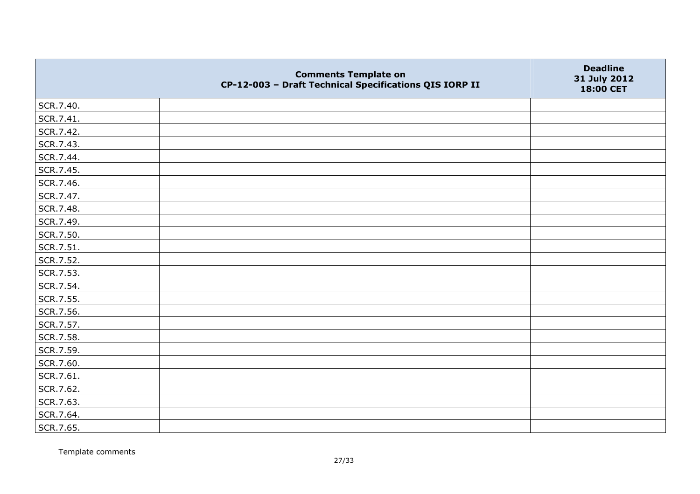|           | <b>Comments Template on</b><br>CP-12-003 - Draft Technical Specifications QIS IORP II | <b>Deadline</b><br>31 July 2012<br>18:00 CET |
|-----------|---------------------------------------------------------------------------------------|----------------------------------------------|
| SCR.7.40. |                                                                                       |                                              |
| SCR.7.41. |                                                                                       |                                              |
| SCR.7.42. |                                                                                       |                                              |
| SCR.7.43. |                                                                                       |                                              |
| SCR.7.44. |                                                                                       |                                              |
| SCR.7.45. |                                                                                       |                                              |
| SCR.7.46. |                                                                                       |                                              |
| SCR.7.47. |                                                                                       |                                              |
| SCR.7.48. |                                                                                       |                                              |
| SCR.7.49. |                                                                                       |                                              |
| SCR.7.50. |                                                                                       |                                              |
| SCR.7.51. |                                                                                       |                                              |
| SCR.7.52. |                                                                                       |                                              |
| SCR.7.53. |                                                                                       |                                              |
| SCR.7.54. |                                                                                       |                                              |
| SCR.7.55. |                                                                                       |                                              |
| SCR.7.56. |                                                                                       |                                              |
| SCR.7.57. |                                                                                       |                                              |
| SCR.7.58. |                                                                                       |                                              |
| SCR.7.59. |                                                                                       |                                              |
| SCR.7.60. |                                                                                       |                                              |
| SCR.7.61. |                                                                                       |                                              |
| SCR.7.62. |                                                                                       |                                              |
| SCR.7.63. |                                                                                       |                                              |
| SCR.7.64. |                                                                                       |                                              |
| SCR.7.65. |                                                                                       |                                              |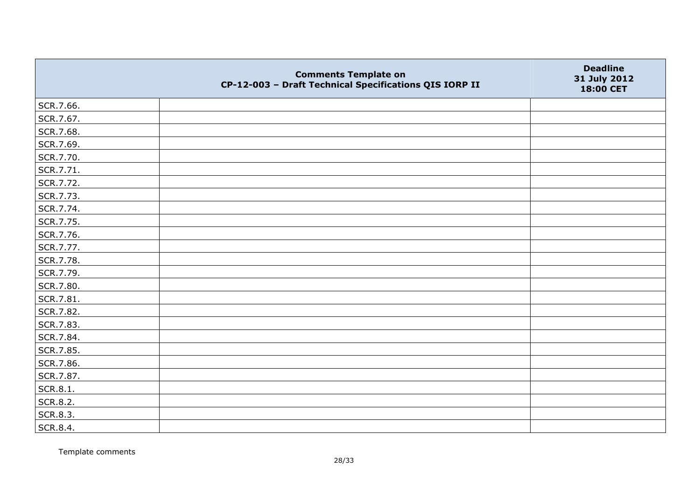|           | <b>Comments Template on</b><br>CP-12-003 - Draft Technical Specifications QIS IORP II | <b>Deadline</b><br>31 July 2012<br>18:00 CET |
|-----------|---------------------------------------------------------------------------------------|----------------------------------------------|
| SCR.7.66. |                                                                                       |                                              |
| SCR.7.67. |                                                                                       |                                              |
| SCR.7.68. |                                                                                       |                                              |
| SCR.7.69. |                                                                                       |                                              |
| SCR.7.70. |                                                                                       |                                              |
| SCR.7.71. |                                                                                       |                                              |
| SCR.7.72. |                                                                                       |                                              |
| SCR.7.73. |                                                                                       |                                              |
| SCR.7.74. |                                                                                       |                                              |
| SCR.7.75. |                                                                                       |                                              |
| SCR.7.76. |                                                                                       |                                              |
| SCR.7.77. |                                                                                       |                                              |
| SCR.7.78. |                                                                                       |                                              |
| SCR.7.79. |                                                                                       |                                              |
| SCR.7.80. |                                                                                       |                                              |
| SCR.7.81. |                                                                                       |                                              |
| SCR.7.82. |                                                                                       |                                              |
| SCR.7.83. |                                                                                       |                                              |
| SCR.7.84. |                                                                                       |                                              |
| SCR.7.85. |                                                                                       |                                              |
| SCR.7.86. |                                                                                       |                                              |
| SCR.7.87. |                                                                                       |                                              |
| SCR.8.1.  |                                                                                       |                                              |
| SCR.8.2.  |                                                                                       |                                              |
| SCR.8.3.  |                                                                                       |                                              |
| SCR.8.4.  |                                                                                       |                                              |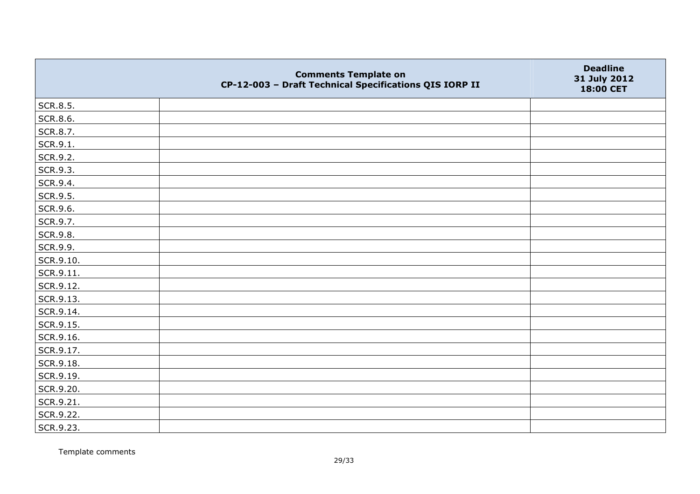|           | <b>Comments Template on</b><br>CP-12-003 - Draft Technical Specifications QIS IORP II | <b>Deadline</b><br>31 July 2012<br>18:00 CET |
|-----------|---------------------------------------------------------------------------------------|----------------------------------------------|
| SCR.8.5.  |                                                                                       |                                              |
| SCR.8.6.  |                                                                                       |                                              |
| SCR.8.7.  |                                                                                       |                                              |
| SCR.9.1.  |                                                                                       |                                              |
| SCR.9.2.  |                                                                                       |                                              |
| SCR.9.3.  |                                                                                       |                                              |
| SCR.9.4.  |                                                                                       |                                              |
| SCR.9.5.  |                                                                                       |                                              |
| SCR.9.6.  |                                                                                       |                                              |
| SCR.9.7.  |                                                                                       |                                              |
| SCR.9.8.  |                                                                                       |                                              |
| SCR.9.9.  |                                                                                       |                                              |
| SCR.9.10. |                                                                                       |                                              |
| SCR.9.11. |                                                                                       |                                              |
| SCR.9.12. |                                                                                       |                                              |
| SCR.9.13. |                                                                                       |                                              |
| SCR.9.14. |                                                                                       |                                              |
| SCR.9.15. |                                                                                       |                                              |
| SCR.9.16. |                                                                                       |                                              |
| SCR.9.17. |                                                                                       |                                              |
| SCR.9.18. |                                                                                       |                                              |
| SCR.9.19. |                                                                                       |                                              |
| SCR.9.20. |                                                                                       |                                              |
| SCR.9.21. |                                                                                       |                                              |
| SCR.9.22. |                                                                                       |                                              |
| SCR.9.23. |                                                                                       |                                              |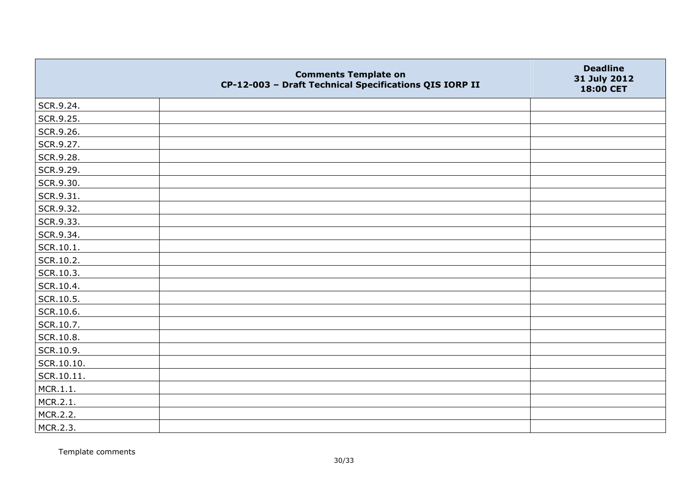|               | <b>Comments Template on</b><br>CP-12-003 - Draft Technical Specifications QIS IORP II | <b>Deadline</b><br>31 July 2012<br>18:00 CET |
|---------------|---------------------------------------------------------------------------------------|----------------------------------------------|
| SCR.9.24.     |                                                                                       |                                              |
| SCR.9.25.     |                                                                                       |                                              |
| SCR.9.26.     |                                                                                       |                                              |
| SCR.9.27.     |                                                                                       |                                              |
| SCR.9.28.     |                                                                                       |                                              |
| SCR.9.29.     |                                                                                       |                                              |
| SCR.9.30.     |                                                                                       |                                              |
| SCR.9.31.     |                                                                                       |                                              |
| SCR.9.32.     |                                                                                       |                                              |
| SCR.9.33.     |                                                                                       |                                              |
| SCR.9.34.     |                                                                                       |                                              |
| $ $ SCR.10.1. |                                                                                       |                                              |
| SCR.10.2.     |                                                                                       |                                              |
| SCR.10.3.     |                                                                                       |                                              |
| SCR.10.4.     |                                                                                       |                                              |
| SCR.10.5.     |                                                                                       |                                              |
| SCR.10.6.     |                                                                                       |                                              |
| SCR.10.7.     |                                                                                       |                                              |
| SCR.10.8.     |                                                                                       |                                              |
| SCR.10.9.     |                                                                                       |                                              |
| SCR.10.10.    |                                                                                       |                                              |
| SCR.10.11.    |                                                                                       |                                              |
| MCR.1.1.      |                                                                                       |                                              |
| MCR.2.1.      |                                                                                       |                                              |
| MCR.2.2.      |                                                                                       |                                              |
| MCR.2.3.      |                                                                                       |                                              |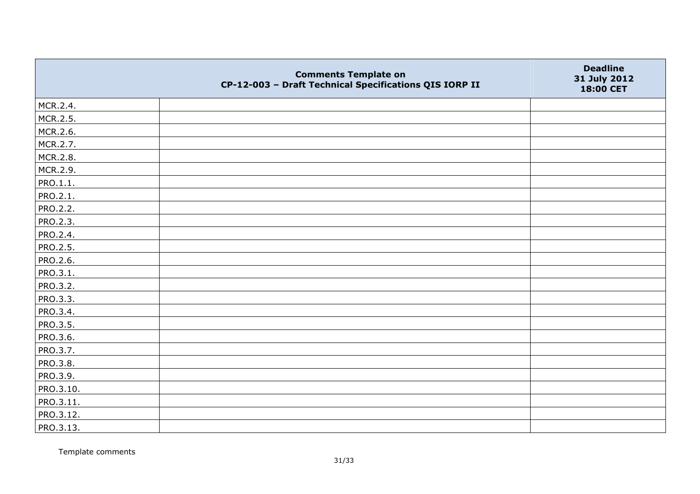|                 | <b>Comments Template on</b><br>CP-12-003 - Draft Technical Specifications QIS IORP II | <b>Deadline</b><br>31 July 2012<br>18:00 CET |
|-----------------|---------------------------------------------------------------------------------------|----------------------------------------------|
| MCR.2.4.        |                                                                                       |                                              |
| MCR.2.5.        |                                                                                       |                                              |
| MCR.2.6.        |                                                                                       |                                              |
| MCR.2.7.        |                                                                                       |                                              |
| MCR.2.8.        |                                                                                       |                                              |
| MCR.2.9.        |                                                                                       |                                              |
| PRO.1.1.        |                                                                                       |                                              |
| PRO.2.1.        |                                                                                       |                                              |
| PRO.2.2.        |                                                                                       |                                              |
| PRO.2.3.        |                                                                                       |                                              |
| <b>PRO.2.4.</b> |                                                                                       |                                              |
| PRO.2.5.        |                                                                                       |                                              |
| PRO.2.6.        |                                                                                       |                                              |
| PRO.3.1.        |                                                                                       |                                              |
| PRO.3.2.        |                                                                                       |                                              |
| PRO.3.3.        |                                                                                       |                                              |
| PRO.3.4.        |                                                                                       |                                              |
| PRO.3.5.        |                                                                                       |                                              |
| PRO.3.6.        |                                                                                       |                                              |
| PRO.3.7.        |                                                                                       |                                              |
| PRO.3.8.        |                                                                                       |                                              |
| PRO.3.9.        |                                                                                       |                                              |
| PRO.3.10.       |                                                                                       |                                              |
| PRO.3.11.       |                                                                                       |                                              |
| PRO.3.12.       |                                                                                       |                                              |
| PRO.3.13.       |                                                                                       |                                              |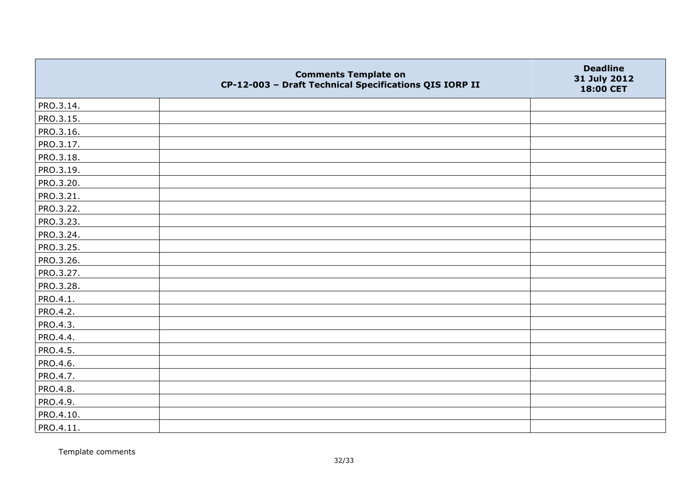|           | <b>Comments Template on</b><br>CP-12-003 - Draft Technical Specifications QIS IORP II | <b>Deadline</b><br>31 July 2012<br>18:00 CET |
|-----------|---------------------------------------------------------------------------------------|----------------------------------------------|
| PRO.3.14. |                                                                                       |                                              |
| PRO.3.15. |                                                                                       |                                              |
| PRO.3.16. |                                                                                       |                                              |
| PRO.3.17. |                                                                                       |                                              |
| PRO.3.18. |                                                                                       |                                              |
| PRO.3.19. |                                                                                       |                                              |
| PRO.3.20. |                                                                                       |                                              |
| PRO.3.21. |                                                                                       |                                              |
| PRO.3.22. |                                                                                       |                                              |
| PRO.3.23. |                                                                                       |                                              |
| PRO.3.24. |                                                                                       |                                              |
| PRO.3.25. |                                                                                       |                                              |
| PRO.3.26. |                                                                                       |                                              |
| PRO.3.27. |                                                                                       |                                              |
| PRO.3.28. |                                                                                       |                                              |
| PRO.4.1.  |                                                                                       |                                              |
| PRO.4.2.  |                                                                                       |                                              |
| PRO.4.3.  |                                                                                       |                                              |
| PRO.4.4.  |                                                                                       |                                              |
| PRO.4.5.  |                                                                                       |                                              |
| PRO.4.6.  |                                                                                       |                                              |
| PRO.4.7.  |                                                                                       |                                              |
| PRO.4.8.  |                                                                                       |                                              |
| PRO.4.9.  |                                                                                       |                                              |
| PRO.4.10. |                                                                                       |                                              |
| PRO.4.11. |                                                                                       |                                              |